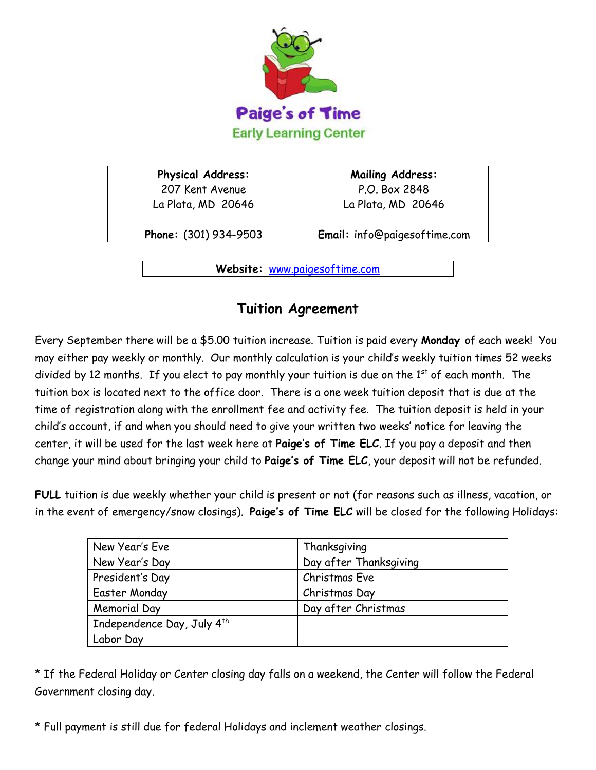

| P.O. Box 2848                |  |  |
|------------------------------|--|--|
|                              |  |  |
| La Plata, MD 20646           |  |  |
| Email: info@paigesoftime.com |  |  |
|                              |  |  |

**Website:** [www.paigesoftime.com](http://www.paigesoftime.com/)

## **Tuition Agreement**

Every September there will be a \$5.00 tuition increase. Tuition is paid every **Monday** of each week! You may either pay weekly or monthly. Our monthly calculation is your child's weekly tuition times 52 weeks divided by 12 months. If you elect to pay monthly your tuition is due on the  $1<sup>st</sup>$  of each month. The tuition box is located next to the office door. There is a one week tuition deposit that is due at the time of registration along with the enrollment fee and activity fee. The tuition deposit is held in your child's account, if and when you should need to give your written two weeks' notice for leaving the center, it will be used for the last week here at **Paige's of Time ELC**. If you pay a deposit and then change your mind about bringing your child to **Paige's of Time ELC**, your deposit will not be refunded.

**FULL** tuition is due weekly whether your child is present or not (for reasons such as illness, vacation, or in the event of emergency/snow closings). **Paige's of Time ELC** will be closed for the following Holidays:

| New Year's Eve                         | Thanksgiving           |  |  |
|----------------------------------------|------------------------|--|--|
| New Year's Day                         | Day after Thanksgiving |  |  |
| President's Day                        | Christmas Eve          |  |  |
| <b>Easter Monday</b>                   | Christmas Day          |  |  |
| Memorial Day                           | Day after Christmas    |  |  |
| Independence Day, July 4 <sup>th</sup> |                        |  |  |
| Labor Day                              |                        |  |  |

\* If the Federal Holiday or Center closing day falls on a weekend, the Center will follow the Federal Government closing day.

\* Full payment is still due for federal Holidays and inclement weather closings.